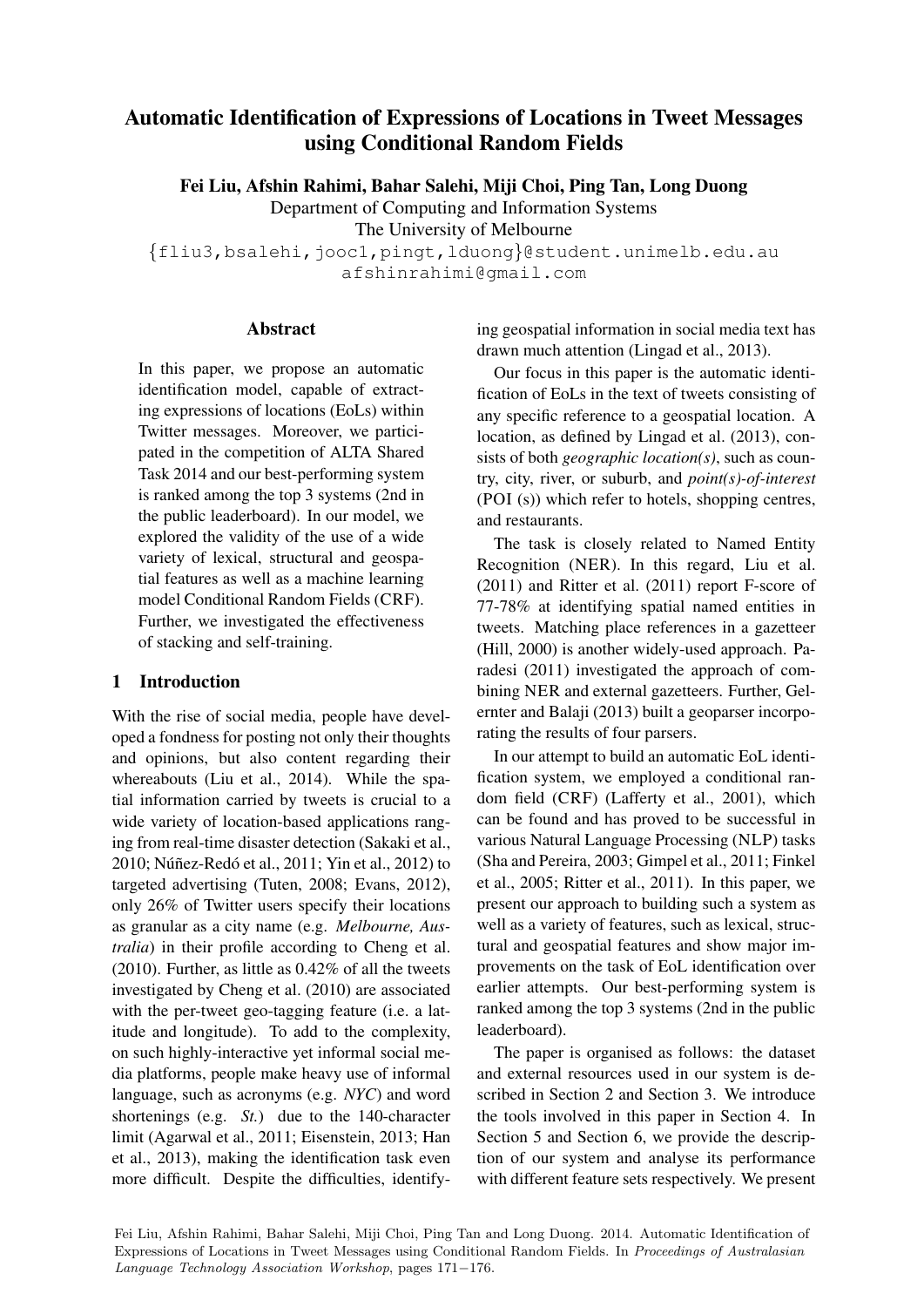# Automatic Identification of Expressions of Locations in Tweet Messages using Conditional Random Fields

Fei Liu, Afshin Rahimi, Bahar Salehi, Miji Choi, Ping Tan, Long Duong

Department of Computing and Information Systems

The University of Melbourne

{fliu3,bsalehi,jooc1,pingt,lduong}@student.unimelb.edu.au afshinrahimi@gmail.com

#### Abstract

In this paper, we propose an automatic identification model, capable of extracting expressions of locations (EoLs) within Twitter messages. Moreover, we participated in the competition of ALTA Shared Task 2014 and our best-performing system is ranked among the top 3 systems (2nd in the public leaderboard). In our model, we explored the validity of the use of a wide variety of lexical, structural and geospatial features as well as a machine learning model Conditional Random Fields (CRF). Further, we investigated the effectiveness of stacking and self-training.

## 1 Introduction

With the rise of social media, people have developed a fondness for posting not only their thoughts and opinions, but also content regarding their whereabouts (Liu et al., 2014). While the spatial information carried by tweets is crucial to a wide variety of location-based applications ranging from real-time disaster detection (Sakaki et al., 2010; Núñez-Redó et al., 2011; Yin et al., 2012) to targeted advertising (Tuten, 2008; Evans, 2012), only 26% of Twitter users specify their locations as granular as a city name (e.g. *Melbourne, Australia*) in their profile according to Cheng et al. (2010). Further, as little as 0.42% of all the tweets investigated by Cheng et al. (2010) are associated with the per-tweet geo-tagging feature (i.e. a latitude and longitude). To add to the complexity, on such highly-interactive yet informal social media platforms, people make heavy use of informal language, such as acronyms (e.g. *NYC*) and word shortenings (e.g. *St.*) due to the 140-character limit (Agarwal et al., 2011; Eisenstein, 2013; Han et al., 2013), making the identification task even more difficult. Despite the difficulties, identifying geospatial information in social media text has drawn much attention (Lingad et al., 2013).

Our focus in this paper is the automatic identification of EoLs in the text of tweets consisting of any specific reference to a geospatial location. A location, as defined by Lingad et al. (2013), consists of both *geographic location(s)*, such as country, city, river, or suburb, and *point(s)-of-interest* (POI (s)) which refer to hotels, shopping centres, and restaurants.

The task is closely related to Named Entity Recognition (NER). In this regard, Liu et al. (2011) and Ritter et al. (2011) report F-score of 77-78% at identifying spatial named entities in tweets. Matching place references in a gazetteer (Hill, 2000) is another widely-used approach. Paradesi (2011) investigated the approach of combining NER and external gazetteers. Further, Gelernter and Balaji (2013) built a geoparser incorporating the results of four parsers.

In our attempt to build an automatic EoL identification system, we employed a conditional random field (CRF) (Lafferty et al., 2001), which can be found and has proved to be successful in various Natural Language Processing (NLP) tasks (Sha and Pereira, 2003; Gimpel et al., 2011; Finkel et al., 2005; Ritter et al., 2011). In this paper, we present our approach to building such a system as well as a variety of features, such as lexical, structural and geospatial features and show major improvements on the task of EoL identification over earlier attempts. Our best-performing system is ranked among the top 3 systems (2nd in the public leaderboard).

The paper is organised as follows: the dataset and external resources used in our system is described in Section 2 and Section 3. We introduce the tools involved in this paper in Section 4. In Section 5 and Section 6, we provide the description of our system and analyse its performance with different feature sets respectively. We present

Fei Liu, Afshin Rahimi, Bahar Salehi, Miji Choi, Ping Tan and Long Duong. 2014. Automatic Identification of Expressions of Locations in Tweet Messages using Conditional Random Fields. In Proceedings of Australasian Language Technology Association Workshop, pages 171−176.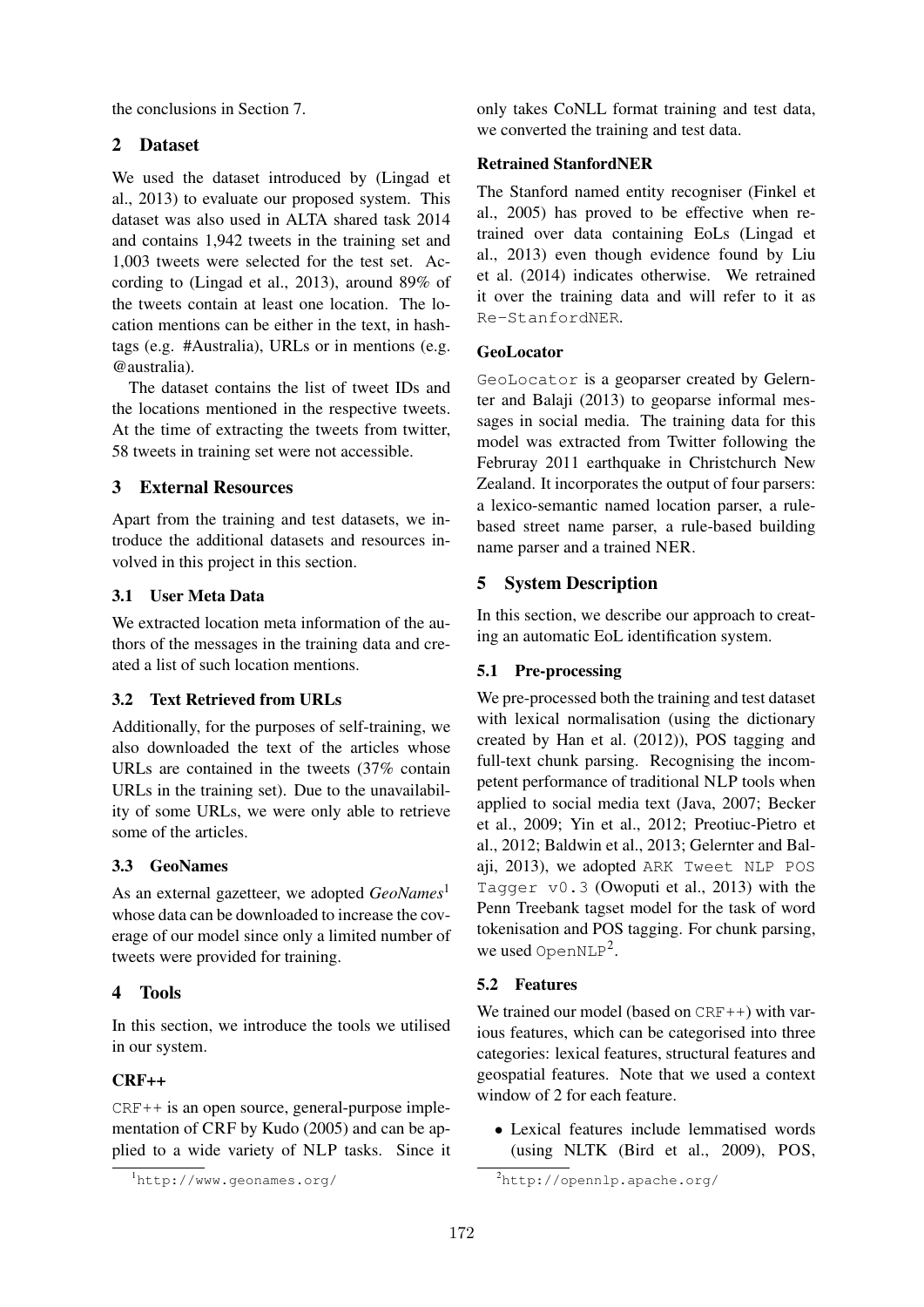the conclusions in Section 7.

### 2 Dataset

We used the dataset introduced by (Lingad et al., 2013) to evaluate our proposed system. This dataset was also used in ALTA shared task 2014 and contains 1,942 tweets in the training set and 1,003 tweets were selected for the test set. According to (Lingad et al., 2013), around 89% of the tweets contain at least one location. The location mentions can be either in the text, in hashtags (e.g. #Australia), URLs or in mentions (e.g. @australia).

The dataset contains the list of tweet IDs and the locations mentioned in the respective tweets. At the time of extracting the tweets from twitter, 58 tweets in training set were not accessible.

### 3 External Resources

Apart from the training and test datasets, we introduce the additional datasets and resources involved in this project in this section.

#### 3.1 User Meta Data

We extracted location meta information of the authors of the messages in the training data and created a list of such location mentions.

#### 3.2 Text Retrieved from URLs

Additionally, for the purposes of self-training, we also downloaded the text of the articles whose URLs are contained in the tweets (37% contain URLs in the training set). Due to the unavailability of some URLs, we were only able to retrieve some of the articles.

## 3.3 GeoNames

As an external gazetteer, we adopted *GeoNames*<sup>1</sup> whose data can be downloaded to increase the coverage of our model since only a limited number of tweets were provided for training.

## 4 Tools

In this section, we introduce the tools we utilised in our system.

## CRF++

CRF++ is an open source, general-purpose implementation of CRF by Kudo (2005) and can be applied to a wide variety of NLP tasks. Since it only takes CoNLL format training and test data, we converted the training and test data.

#### Retrained StanfordNER

The Stanford named entity recogniser (Finkel et al., 2005) has proved to be effective when retrained over data containing EoLs (Lingad et al., 2013) even though evidence found by Liu et al. (2014) indicates otherwise. We retrained it over the training data and will refer to it as Re-StanfordNER.

#### GeoLocator

GeoLocator is a geoparser created by Gelernter and Balaji (2013) to geoparse informal messages in social media. The training data for this model was extracted from Twitter following the Februray 2011 earthquake in Christchurch New Zealand. It incorporates the output of four parsers: a lexico-semantic named location parser, a rulebased street name parser, a rule-based building name parser and a trained NER.

## 5 System Description

In this section, we describe our approach to creating an automatic EoL identification system.

#### 5.1 Pre-processing

We pre-processed both the training and test dataset with lexical normalisation (using the dictionary created by Han et al. (2012)), POS tagging and full-text chunk parsing. Recognising the incompetent performance of traditional NLP tools when applied to social media text (Java, 2007; Becker et al., 2009; Yin et al., 2012; Preotiuc-Pietro et al., 2012; Baldwin et al., 2013; Gelernter and Balaji, 2013), we adopted ARK Tweet NLP POS Tagger v0.3 (Owoputi et al., 2013) with the Penn Treebank tagset model for the task of word tokenisation and POS tagging. For chunk parsing, we used OpenNLP<sup>2</sup>.

#### 5.2 Features

We trained our model (based on  $CRF++$ ) with various features, which can be categorised into three categories: lexical features, structural features and geospatial features. Note that we used a context window of 2 for each feature.

• Lexical features include lemmatised words (using NLTK (Bird et al., 2009), POS,

<sup>1</sup>http://www.geonames.org/

<sup>2</sup>http://opennlp.apache.org/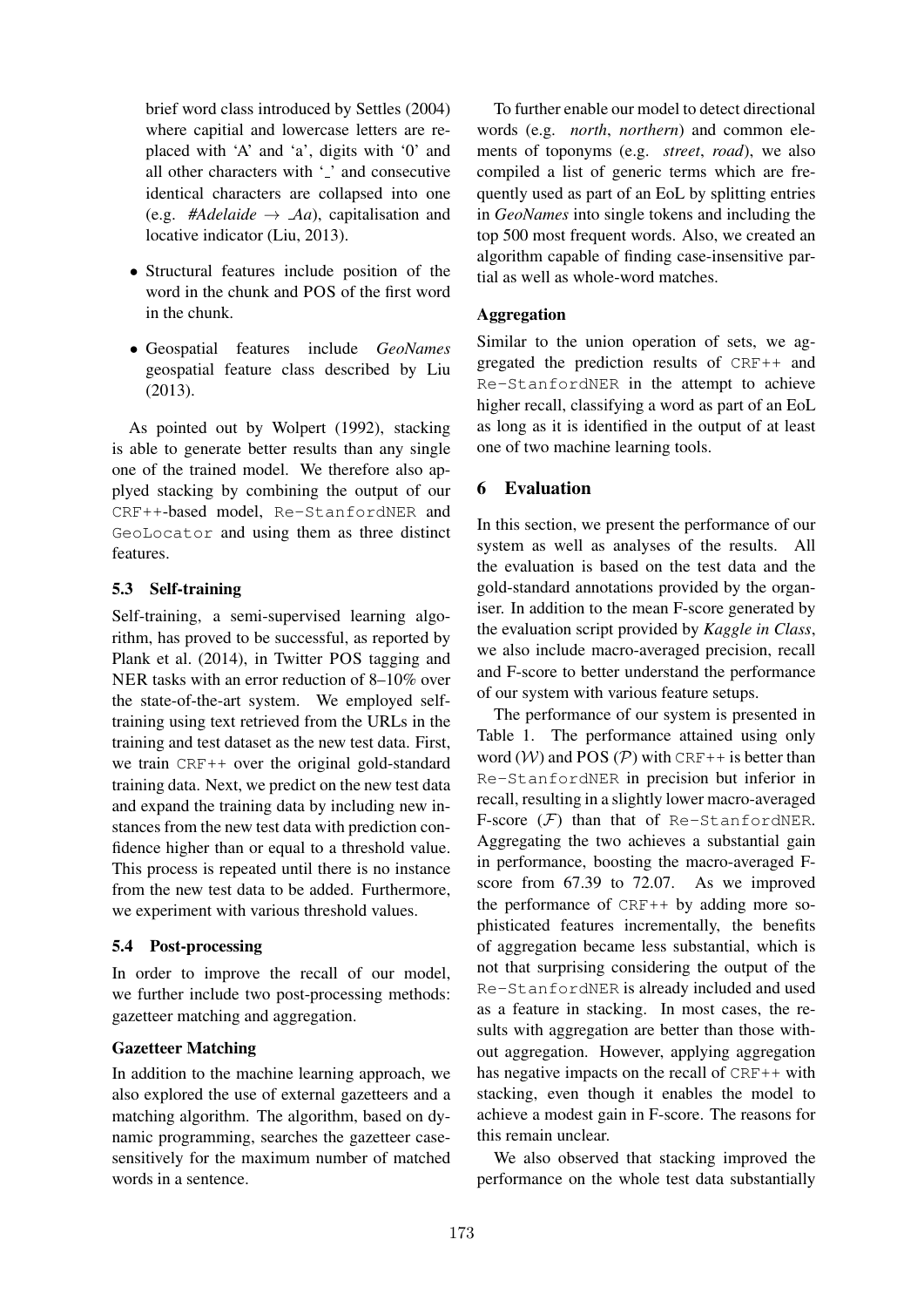brief word class introduced by Settles (2004) where capitial and lowercase letters are replaced with 'A' and 'a', digits with '0' and all other characters with '<sub>-</sub>' and consecutive identical characters are collapsed into one (e.g. #Adelaide  $\rightarrow$  *Aa*), capitalisation and locative indicator (Liu, 2013).

- Structural features include position of the word in the chunk and POS of the first word in the chunk.
- Geospatial features include *GeoNames* geospatial feature class described by Liu (2013).

As pointed out by Wolpert (1992), stacking is able to generate better results than any single one of the trained model. We therefore also applyed stacking by combining the output of our CRF++-based model, Re-StanfordNER and GeoLocator and using them as three distinct features.

### 5.3 Self-training

Self-training, a semi-supervised learning algorithm, has proved to be successful, as reported by Plank et al. (2014), in Twitter POS tagging and NER tasks with an error reduction of 8–10% over the state-of-the-art system. We employed selftraining using text retrieved from the URLs in the training and test dataset as the new test data. First, we train CRF++ over the original gold-standard training data. Next, we predict on the new test data and expand the training data by including new instances from the new test data with prediction confidence higher than or equal to a threshold value. This process is repeated until there is no instance from the new test data to be added. Furthermore, we experiment with various threshold values.

#### 5.4 Post-processing

In order to improve the recall of our model, we further include two post-processing methods: gazetteer matching and aggregation.

## Gazetteer Matching

In addition to the machine learning approach, we also explored the use of external gazetteers and a matching algorithm. The algorithm, based on dynamic programming, searches the gazetteer casesensitively for the maximum number of matched words in a sentence.

To further enable our model to detect directional words (e.g. *north*, *northern*) and common elements of toponyms (e.g. *street*, *road*), we also compiled a list of generic terms which are frequently used as part of an EoL by splitting entries in *GeoNames* into single tokens and including the top 500 most frequent words. Also, we created an algorithm capable of finding case-insensitive partial as well as whole-word matches.

### Aggregation

Similar to the union operation of sets, we aggregated the prediction results of CRF++ and Re-StanfordNER in the attempt to achieve higher recall, classifying a word as part of an EoL as long as it is identified in the output of at least one of two machine learning tools.

## 6 Evaluation

In this section, we present the performance of our system as well as analyses of the results. All the evaluation is based on the test data and the gold-standard annotations provided by the organiser. In addition to the mean F-score generated by the evaluation script provided by *Kaggle in Class*, we also include macro-averaged precision, recall and F-score to better understand the performance of our system with various feature setups.

The performance of our system is presented in Table 1. The performance attained using only word  $(W)$  and POS  $(P)$  with CRF++ is better than Re-StanfordNER in precision but inferior in recall, resulting in a slightly lower macro-averaged F-score  $(F)$  than that of Re-StanfordNER. Aggregating the two achieves a substantial gain in performance, boosting the macro-averaged Fscore from 67.39 to 72.07. As we improved the performance of CRF++ by adding more sophisticated features incrementally, the benefits of aggregation became less substantial, which is not that surprising considering the output of the Re-StanfordNER is already included and used as a feature in stacking. In most cases, the results with aggregation are better than those without aggregation. However, applying aggregation has negative impacts on the recall of  $CRF++$  with stacking, even though it enables the model to achieve a modest gain in F-score. The reasons for this remain unclear.

We also observed that stacking improved the performance on the whole test data substantially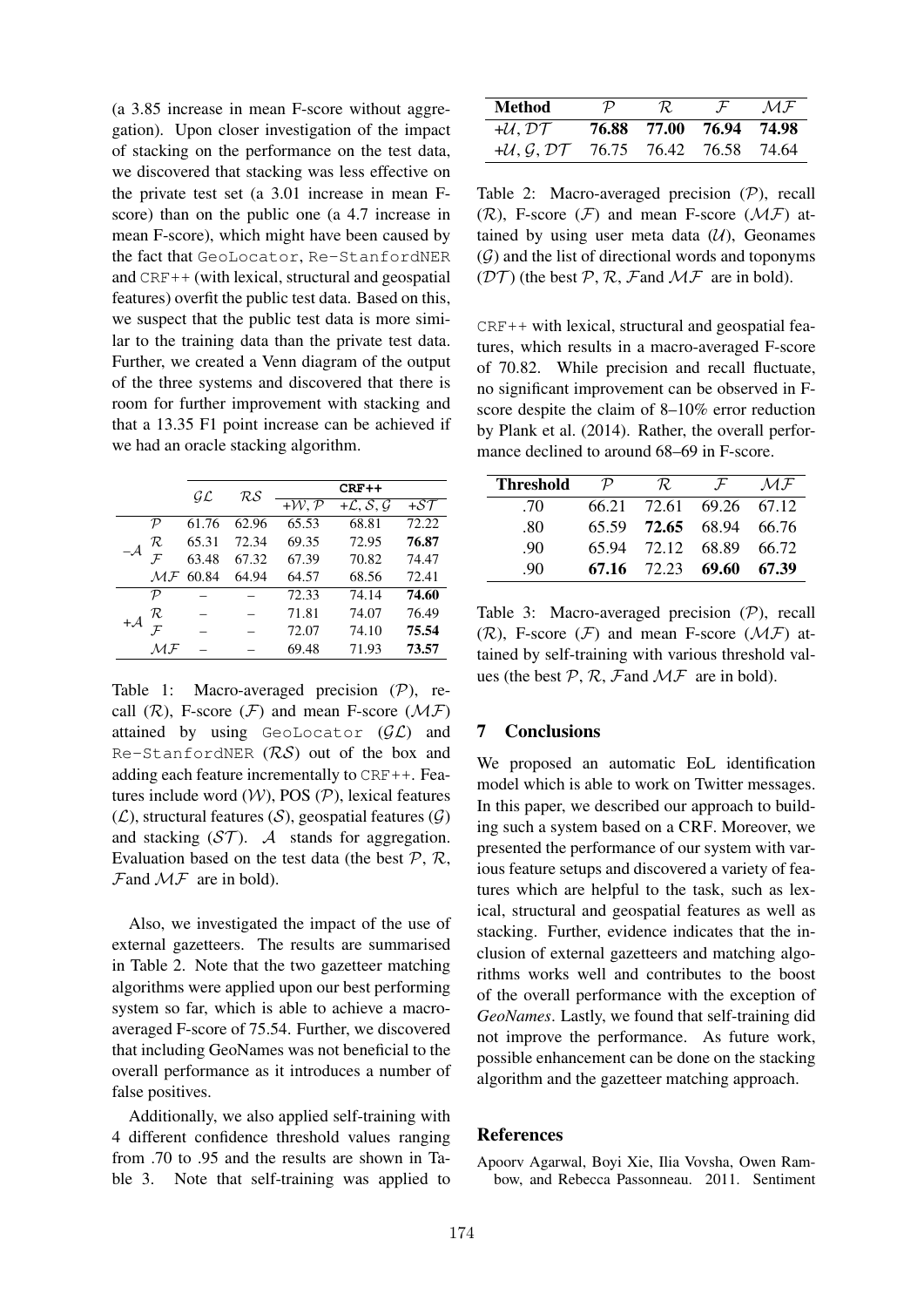(a 3.85 increase in mean F-score without aggregation). Upon closer investigation of the impact of stacking on the performance on the test data, we discovered that stacking was less effective on the private test set (a 3.01 increase in mean Fscore) than on the public one (a 4.7 increase in mean F-score), which might have been caused by the fact that GeoLocator, Re-StanfordNER and CRF++ (with lexical, structural and geospatial features) overfit the public test data. Based on this, we suspect that the public test data is more similar to the training data than the private test data. Further, we created a Venn diagram of the output of the three systems and discovered that there is room for further improvement with stacking and that a 13.35 F1 point increase can be achieved if we had an oracle stacking algorithm.

|  |                         | $\cal GL$ | RS    | $CRF++$                     |                                            |       |
|--|-------------------------|-----------|-------|-----------------------------|--------------------------------------------|-------|
|  |                         |           |       | $+\mathcal{W}, \mathcal{P}$ | $+{\cal L}, \overline{{\cal S}, {\cal G}}$ | $+ST$ |
|  | $\mathcal{P}$           | 61.76     | 62.96 | 65.53                       | 68.81                                      | 72.22 |
|  | R                       | 65.31     | 72.34 | 69.35                       | 72.95                                      | 76.87 |
|  |                         | 63.48     | 67.32 | 67.39                       | 70.82                                      | 74.47 |
|  | $\mathcal{MF}% _{k}(G)$ | 60.84     | 64.94 | 64.57                       | 68.56                                      | 72.41 |
|  | ${\cal P}$              |           |       | 72.33                       | 74.14                                      | 74.60 |
|  | R.                      |           |       | 71.81                       | 74.07                                      | 76.49 |
|  |                         |           |       | 72.07                       | 74.10                                      | 75.54 |
|  | M.F                     |           |       | 69.48                       | 71.93                                      | 73.57 |

Table 1: Macro-averaged precision  $(\mathcal{P})$ , recall  $(\mathcal{R})$ , F-score  $(\mathcal{F})$  and mean F-score  $(\mathcal{MF})$ attained by using GeoLocator  $(\mathcal{GL})$  and Re-StanfordNER  $(RS)$  out of the box and adding each feature incrementally to CRF++. Features include word  $(W)$ , POS  $(P)$ , lexical features  $(\mathcal{L})$ , structural features  $(\mathcal{S})$ , geospatial features  $(\mathcal{G})$ and stacking  $(\mathcal{ST})$ . A stands for aggregation. Evaluation based on the test data (the best  $P$ ,  $R$ ,  $\mathcal{F}$ and  $\mathcal{MF}$  are in bold).

Also, we investigated the impact of the use of external gazetteers. The results are summarised in Table 2. Note that the two gazetteer matching algorithms were applied upon our best performing system so far, which is able to achieve a macroaveraged F-score of 75.54. Further, we discovered that including GeoNames was not beneficial to the overall performance as it introduces a number of false positives.

Additionally, we also applied self-training with 4 different confidence threshold values ranging from .70 to .95 and the results are shown in Table 3. Note that self-training was applied to

| Method                               | $\mathcal{P}$ | R.                      | $\mathcal{F}$ | M.F |
|--------------------------------------|---------------|-------------------------|---------------|-----|
| $+U, D\mathcal{T}$                   |               | 76.88 77.00 76.94 74.98 |               |     |
| $+U, G, D$ T 76.75 76.42 76.58 74.64 |               |                         |               |     |

Table 2: Macro-averaged precision (P), recall  $(\mathcal{R})$ , F-score  $(\mathcal{F})$  and mean F-score  $(\mathcal{MF})$  attained by using user meta data  $(\mathcal{U})$ , Geonames  $(G)$  and the list of directional words and toponyms  $(\mathcal{DT})$  (the best P, R, Fand MF are in bold).

CRF++ with lexical, structural and geospatial features, which results in a macro-averaged F-score of 70.82. While precision and recall fluctuate, no significant improvement can be observed in Fscore despite the claim of 8–10% error reduction by Plank et al. (2014). Rather, the overall performance declined to around 68–69 in F-score.

| <b>Threshold</b> | $\mathcal{P}$ | R.                      | $\mathcal{F}$ | $\mathcal{M} \mathcal{F}$ |
|------------------|---------------|-------------------------|---------------|---------------------------|
| .70              |               | 66.21 72.61 69.26 67.12 |               |                           |
| .80              |               | 65.59 72.65 68.94 66.76 |               |                           |
| .90              |               | 65.94 72.12 68.89 66.72 |               |                           |
| .90              |               | 67.16 72.23 69.60 67.39 |               |                           |

Table 3: Macro-averaged precision (P), recall  $(\mathcal{R})$ , F-score  $(\mathcal{F})$  and mean F-score  $(\mathcal{MF})$  attained by self-training with various threshold values (the best  $P$ ,  $R$ ,  $F$  and  $MF$  are in bold).

#### 7 Conclusions

We proposed an automatic EoL identification model which is able to work on Twitter messages. In this paper, we described our approach to building such a system based on a CRF. Moreover, we presented the performance of our system with various feature setups and discovered a variety of features which are helpful to the task, such as lexical, structural and geospatial features as well as stacking. Further, evidence indicates that the inclusion of external gazetteers and matching algorithms works well and contributes to the boost of the overall performance with the exception of *GeoNames*. Lastly, we found that self-training did not improve the performance. As future work, possible enhancement can be done on the stacking algorithm and the gazetteer matching approach.

#### References

Apoorv Agarwal, Boyi Xie, Ilia Vovsha, Owen Rambow, and Rebecca Passonneau. 2011. Sentiment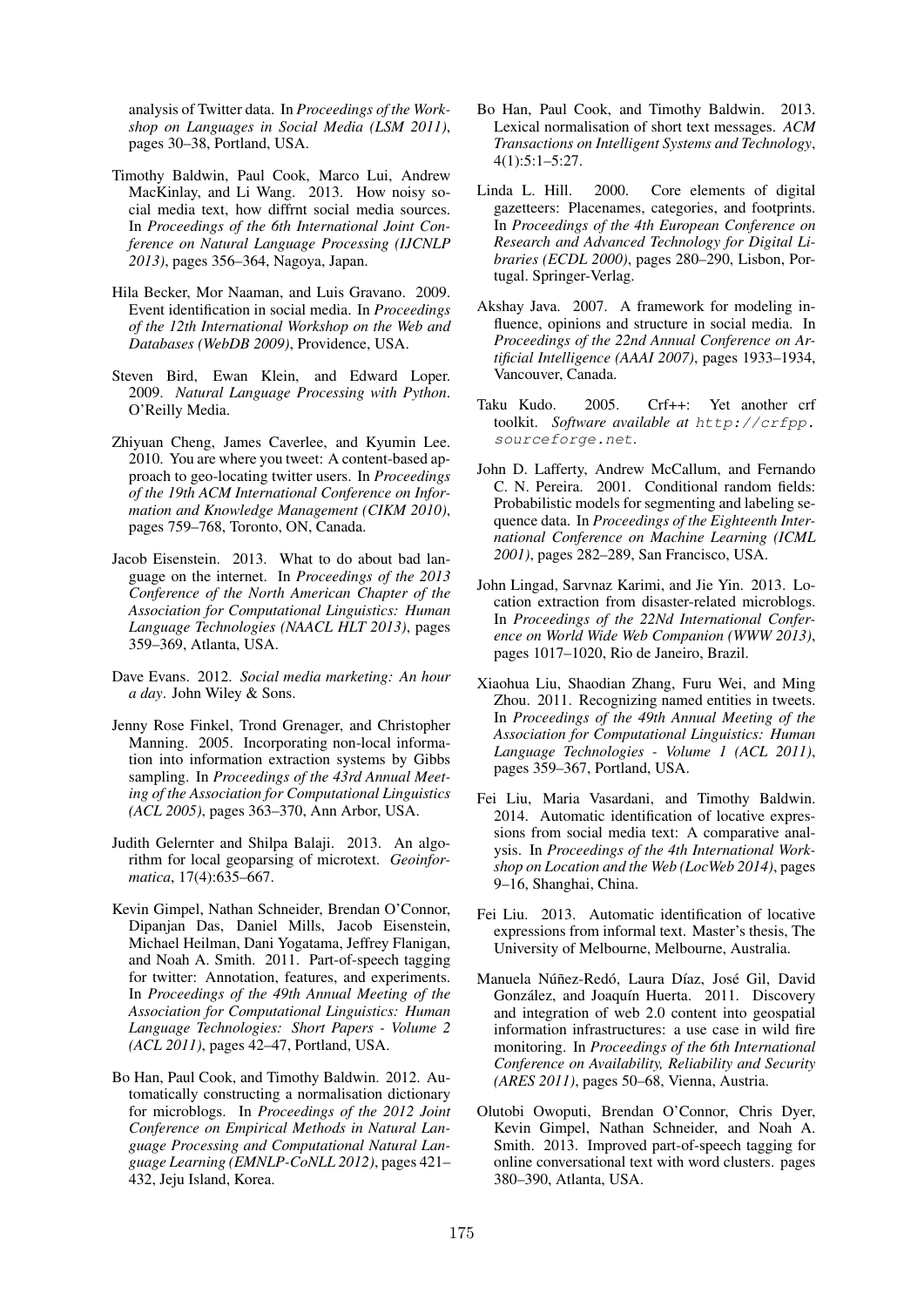analysis of Twitter data. In *Proceedings of the Workshop on Languages in Social Media (LSM 2011)*, pages 30–38, Portland, USA.

- Timothy Baldwin, Paul Cook, Marco Lui, Andrew MacKinlay, and Li Wang. 2013. How noisy social media text, how diffrnt social media sources. In *Proceedings of the 6th International Joint Conference on Natural Language Processing (IJCNLP 2013)*, pages 356–364, Nagoya, Japan.
- Hila Becker, Mor Naaman, and Luis Gravano. 2009. Event identification in social media. In *Proceedings of the 12th International Workshop on the Web and Databases (WebDB 2009)*, Providence, USA.
- Steven Bird, Ewan Klein, and Edward Loper. 2009. *Natural Language Processing with Python*. O'Reilly Media.
- Zhiyuan Cheng, James Caverlee, and Kyumin Lee. 2010. You are where you tweet: A content-based approach to geo-locating twitter users. In *Proceedings of the 19th ACM International Conference on Information and Knowledge Management (CIKM 2010)*, pages 759–768, Toronto, ON, Canada.
- Jacob Eisenstein. 2013. What to do about bad language on the internet. In *Proceedings of the 2013 Conference of the North American Chapter of the Association for Computational Linguistics: Human Language Technologies (NAACL HLT 2013)*, pages 359–369, Atlanta, USA.
- Dave Evans. 2012. *Social media marketing: An hour a day*. John Wiley & Sons.
- Jenny Rose Finkel, Trond Grenager, and Christopher Manning. 2005. Incorporating non-local information into information extraction systems by Gibbs sampling. In *Proceedings of the 43rd Annual Meeting of the Association for Computational Linguistics (ACL 2005)*, pages 363–370, Ann Arbor, USA.
- Judith Gelernter and Shilpa Balaji. 2013. An algorithm for local geoparsing of microtext. *Geoinformatica*, 17(4):635–667.
- Kevin Gimpel, Nathan Schneider, Brendan O'Connor, Dipanjan Das, Daniel Mills, Jacob Eisenstein, Michael Heilman, Dani Yogatama, Jeffrey Flanigan, and Noah A. Smith. 2011. Part-of-speech tagging for twitter: Annotation, features, and experiments. In *Proceedings of the 49th Annual Meeting of the Association for Computational Linguistics: Human Language Technologies: Short Papers - Volume 2 (ACL 2011)*, pages 42–47, Portland, USA.
- Bo Han, Paul Cook, and Timothy Baldwin. 2012. Automatically constructing a normalisation dictionary for microblogs. In *Proceedings of the 2012 Joint Conference on Empirical Methods in Natural Language Processing and Computational Natural Language Learning (EMNLP-CoNLL 2012)*, pages 421– 432, Jeju Island, Korea.
- Bo Han, Paul Cook, and Timothy Baldwin. 2013. Lexical normalisation of short text messages. *ACM Transactions on Intelligent Systems and Technology*, 4(1):5:1–5:27.
- Linda L. Hill. 2000. Core elements of digital gazetteers: Placenames, categories, and footprints. In *Proceedings of the 4th European Conference on Research and Advanced Technology for Digital Libraries (ECDL 2000)*, pages 280–290, Lisbon, Portugal. Springer-Verlag.
- Akshay Java. 2007. A framework for modeling influence, opinions and structure in social media. In *Proceedings of the 22nd Annual Conference on Artificial Intelligence (AAAI 2007)*, pages 1933–1934, Vancouver, Canada.
- Taku Kudo. 2005. Crf++: Yet another crf toolkit. *Software available at http://crfpp. sourceforge.net*.
- John D. Lafferty, Andrew McCallum, and Fernando C. N. Pereira. 2001. Conditional random fields: Probabilistic models for segmenting and labeling sequence data. In *Proceedings of the Eighteenth International Conference on Machine Learning (ICML 2001)*, pages 282–289, San Francisco, USA.
- John Lingad, Sarvnaz Karimi, and Jie Yin. 2013. Location extraction from disaster-related microblogs. In *Proceedings of the 22Nd International Conference on World Wide Web Companion (WWW 2013)*, pages 1017–1020, Rio de Janeiro, Brazil.
- Xiaohua Liu, Shaodian Zhang, Furu Wei, and Ming Zhou. 2011. Recognizing named entities in tweets. In *Proceedings of the 49th Annual Meeting of the Association for Computational Linguistics: Human Language Technologies - Volume 1 (ACL 2011)*, pages 359–367, Portland, USA.
- Fei Liu, Maria Vasardani, and Timothy Baldwin. 2014. Automatic identification of locative expressions from social media text: A comparative analysis. In *Proceedings of the 4th International Workshop on Location and the Web (LocWeb 2014)*, pages 9–16, Shanghai, China.
- Fei Liu. 2013. Automatic identification of locative expressions from informal text. Master's thesis, The University of Melbourne, Melbourne, Australia.
- Manuela Núñez-Redó, Laura Díaz, José Gil, David González, and Joaquín Huerta. 2011. Discovery and integration of web 2.0 content into geospatial information infrastructures: a use case in wild fire monitoring. In *Proceedings of the 6th International Conference on Availability, Reliability and Security (ARES 2011)*, pages 50–68, Vienna, Austria.
- Olutobi Owoputi, Brendan O'Connor, Chris Dyer, Kevin Gimpel, Nathan Schneider, and Noah A. Smith. 2013. Improved part-of-speech tagging for online conversational text with word clusters. pages 380–390, Atlanta, USA.